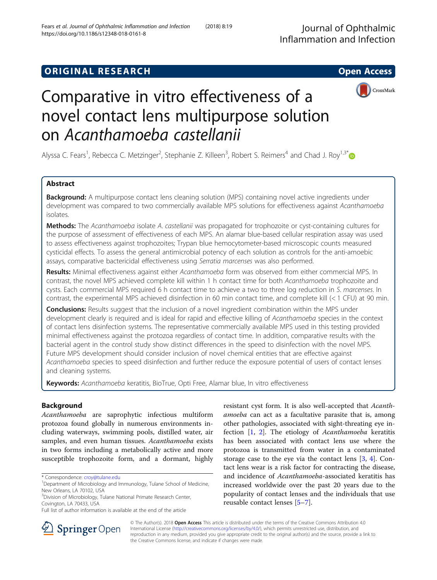## **ORIGINAL RESEARCH CONSUMING ACCESS**



# Comparative in vitro effectiveness of a novel contact lens multipurpose solution on Acanthamoeba castellanii

Alyssa C. Fears<sup>1</sup>, Rebecca C. Metzinger<sup>2</sup>, Stephanie Z. Killeen<sup>3</sup>, Robert S. Reimers<sup>4</sup> and Chad J. Roy<sup>1,3[\\*](http://orcid.org/0000-0002-1710-6974)</sup>

## Abstract

Background: A multipurpose contact lens cleaning solution (MPS) containing novel active ingredients under development was compared to two commercially available MPS solutions for effectiveness against Acanthamoeba isolates.

Methods: The Acanthamoeba isolate A. castellanii was propagated for trophozoite or cyst-containing cultures for the purpose of assessment of effectiveness of each MPS. An alamar blue-based cellular respiration assay was used to assess effectiveness against trophozoites; Trypan blue hemocytometer-based microscopic counts measured cysticidal effects. To assess the general antimicrobial potency of each solution as controls for the anti-amoebic assays, comparative bactericidal effectiveness using Serratia marcenses was also performed.

Results: Minimal effectiveness against either Acanthamoeba form was observed from either commercial MPS. In contrast, the novel MPS achieved complete kill within 1 h contact time for both Acanthamoeba trophozoite and cysts. Each commercial MPS required 6 h contact time to achieve a two to three log reduction in S. marcenses. In contrast, the experimental MPS achieved disinfection in 60 min contact time, and complete kill (< 1 CFU) at 90 min.

**Conclusions:** Results suggest that the inclusion of a novel ingredient combination within the MPS under development clearly is required and is ideal for rapid and effective killing of Acanthamoeba species in the context of contact lens disinfection systems. The representative commercially available MPS used in this testing provided minimal effectiveness against the protozoa regardless of contact time. In addition, comparative results with the bacterial agent in the control study show distinct differences in the speed to disinfection with the novel MPS. Future MPS development should consider inclusion of novel chemical entities that are effective against Acanthamoeba species to speed disinfection and further reduce the exposure potential of users of contact lenses and cleaning systems.

Keywords: Acanthamoeba keratitis, BioTrue, Opti Free, Alamar blue, In vitro effectiveness

## Background

Acanthamoeba are saprophytic infectious multiform protozoa found globally in numerous environments including waterways, swimming pools, distilled water, air samples, and even human tissues. Acanthamoeba exists in two forms including a metabolically active and more susceptible trophozoite form, and a dormant, highly resistant cyst form. It is also well-accepted that Acanthamoeba can act as a facultative parasite that is, among other pathologies, associated with sight-threating eye infection  $[1, 2]$  $[1, 2]$  $[1, 2]$  $[1, 2]$ . The etiology of *Acanthamoeba* keratitis has been associated with contact lens use where the protozoa is transmitted from water in a contaminated storage case to the eye via the contact lens [\[3,](#page-6-0) [4\]](#page-6-0). Contact lens wear is a risk factor for contracting the disease, and incidence of Acanthamoeba-associated keratitis has increased worldwide over the past 20 years due to the popularity of contact lenses and the individuals that use reusable contact lenses [[5](#page-6-0)–[7\]](#page-6-0).



© The Author(s). 2018 Open Access This article is distributed under the terms of the Creative Commons Attribution 4.0 International License ([http://creativecommons.org/licenses/by/4.0/\)](http://creativecommons.org/licenses/by/4.0/), which permits unrestricted use, distribution, and reproduction in any medium, provided you give appropriate credit to the original author(s) and the source, provide a link to the Creative Commons license, and indicate if changes were made.

<sup>\*</sup> Correspondence: [croy@tulane.edu](mailto:croy@tulane.edu) <sup>1</sup>

<sup>&</sup>lt;sup>1</sup>Department of Microbiology and Immunology, Tulane School of Medicine, New Orleans, LA 70102, USA

<sup>&</sup>lt;sup>3</sup> Division of Microbiology, Tulane National Primate Research Center, Covington, LA 70433, USA

Full list of author information is available at the end of the article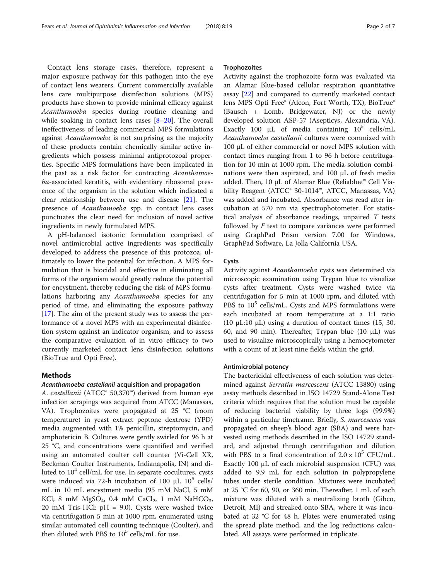Contact lens storage cases, therefore, represent a major exposure pathway for this pathogen into the eye of contact lens wearers. Current commercially available lens care multipurpose disinfection solutions (MPS) products have shown to provide minimal efficacy against Acanthamoeba species during routine cleaning and while soaking in contact lens cases [[8](#page-6-0)–[20](#page-6-0)]. The overall ineffectiveness of leading commercial MPS formulations against Acanthamoeba is not surprising as the majority of these products contain chemically similar active ingredients which possess minimal antiprotozoal properties. Specific MPS formulations have been implicated in the past as a risk factor for contracting Acanthamoeba-associated keratitis, with evidentiary ribosomal presence of the organism in the solution which indicated a clear relationship between use and disease [\[21](#page-6-0)]. The presence of Acanthamoeba spp. in contact lens cases punctuates the clear need for inclusion of novel active ingredients in newly formulated MPS.

A pH-balanced isotonic formulation comprised of novel antimicrobial active ingredients was specifically developed to address the presence of this protozoa, ultimately to lower the potential for infection. A MPS formulation that is biocidal and effective in eliminating all forms of the organism would greatly reduce the potential for encystment, thereby reducing the risk of MPS formulations harboring any Acanthamoeba species for any period of time, and eliminating the exposure pathway [[17\]](#page-6-0). The aim of the present study was to assess the performance of a novel MPS with an experimental disinfection system against an indicator organism, and to assess the comparative evaluation of in vitro efficacy to two currently marketed contact lens disinfection solutions (BioTrue and Opti Free).

## Methods

### Acanthamoeba castellanii acquisition and propagation

A. castellanii (ATCC® 50,370™) derived from human eye infection scrapings was acquired from ATCC (Manassas, VA). Trophozoites were propagated at 25 °C (room temperature) in yeast extract peptone dextrose (YPD) media augmented with 1% penicillin, streptomycin, and amphotericin B. Cultures were gently swirled for 96 h at 25 °C, and concentrations were quantified and verified using an automated coulter cell counter (Vi-Cell XR, Beckman Coulter Instruments, Indianapolis, IN) and diluted to  $10^4$  cell/mL for use. In separate cocultures, cysts were induced via 72-h incubation of 100  $\mu$ L 10<sup>6</sup> cells/ mL in 10 mL encystment media (95 mM NaCl, 5 mM KCl, 8 mM  $MgSO_4$ , 0.4 mM  $CaCl_2$ , 1 mM NaHCO<sub>3</sub>, 20 mM Tris-HCl: pH = 9.0). Cysts were washed twice via centrifugation 5 min at 1000 rpm, enumerated using similar automated cell counting technique (Coulter), and then diluted with PBS to  $10^5$  cells/mL for use.

### **Trophozoites**

Activity against the trophozoite form was evaluated via an Alamar Blue-based cellular respiration quantitative assay [[22](#page-6-0)] and compared to currently marketed contact lens MPS Opti Free® (Alcon, Fort Worth, TX), BioTrue® (Bausch + Lomb, Bridgewater, NJ) or the newly developed solution ASP-57 (Asepticys, Alexandria, VA). Exactly 100  $\mu$ L of media containing  $10^5$  cells/mL Acanthamoeba castellanii cultures were commixed with 100 μL of either commercial or novel MPS solution with contact times ranging from 1 to 96 h before centrifugation for 10 min at 1000 rpm. The media-solution combinations were then aspirated, and 100 μL of fresh media added. Then, 10 μL of Alamar Blue (Reliablue™ Cell Viability Reagent (ATCC® 30-1014™, ATCC, Manassas, VA) was added and incubated. Absorbance was read after incubation at 570 nm via spectrophotometer. For statistical analysis of absorbance readings, unpaired  $T$  tests followed by  $F$  test to compare variances were performed using GraphPad Prism version 7.00 for Windows, GraphPad Software, La Jolla California USA.

## Cysts

Activity against Acanthamoeba cysts was determined via microscopic examination using Trypan blue to visualize cysts after treatment. Cysts were washed twice via centrifugation for 5 min at 1000 rpm, and diluted with PBS to  $10^5$  cells/mL. Cysts and MPS formulations were each incubated at room temperature at a 1:1 ratio (10  $\mu$ L:10  $\mu$ L) using a duration of contact times (15, 30, 60, and 90 min). Thereafter, Trypan blue (10  $\mu$ L) was used to visualize microscopically using a hemocytometer with a count of at least nine fields within the grid.

## Antimicrobial potency

The bactericidal effectiveness of each solution was determined against Serratia marcescens (ATCC 13880) using assay methods described in ISO 14729 Stand-Alone Test criteria which requires that the solution must be capable of reducing bacterial viability by three logs (99.9%) within a particular timeframe. Briefly, S. marcescens was propagated on sheep's blood agar (SBA) and were harvested using methods described in the ISO 14729 standard, and adjusted through centrifugation and dilution with PBS to a final concentration of  $2.0 \times 10^5$  CFU/mL. Exactly 100 μL of each microbial suspension (CFU) was added to 9.9 mL for each solution in polypropylene tubes under sterile condition. Mixtures were incubated at 25 °C for 60, 90, or 360 min. Thereafter, 1 mL of each mixture was diluted with a neutralizing broth (Gibco, Detroit, MI) and streaked onto SBA, where it was incubated at 32 °C for 48 h. Plates were enumerated using the spread plate method, and the log reductions calculated. All assays were performed in triplicate.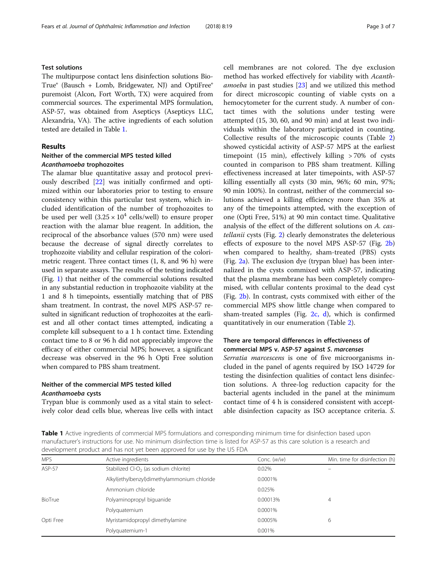## Test solutions

The multipurpose contact lens disinfection solutions Bio-True® (Bausch + Lomb, Bridgewater, NJ) and OptiFree® puremoist (Alcon, Fort Worth, TX) were acquired from commercial sources. The experimental MPS formulation, ASP-57, was obtained from Asepticys (Asepticys LLC, Alexandria, VA). The active ingredients of each solution tested are detailed in Table 1.

## Results

## Neither of the commercial MPS tested killed Acanthamoeba trophozoites

The alamar blue quantitative assay and protocol previously described [\[22\]](#page-6-0) was initially confirmed and optimized within our laboratories prior to testing to ensure consistency within this particular test system, which included identification of the number of trophozoites to be used per well  $(3.25 \times 10^4 \text{ cells/well})$  to ensure proper reaction with the alamar blue reagent. In addition, the reciprocal of the absorbance values (570 nm) were used because the decrease of signal directly correlates to trophozoite viability and cellular respiration of the colorimetric reagent. Three contact times (1, 8, and 96 h) were used in separate assays. The results of the testing indicated (Fig. [1](#page-3-0)) that neither of the commercial solutions resulted in any substantial reduction in trophozoite viability at the 1 and 8 h timepoints, essentially matching that of PBS sham treatment. In contrast, the novel MPS ASP-57 resulted in significant reduction of trophozoites at the earliest and all other contact times attempted, indicating a complete kill subsequent to a 1 h contact time. Extending contact time to 8 or 96 h did not appreciably improve the efficacy of either commercial MPS; however, a significant decrease was observed in the 96 h Opti Free solution when compared to PBS sham treatment.

## Neither of the commercial MPS tested killed Acanthamoeba cysts

Trypan blue is commonly used as a vital stain to selectively color dead cells blue, whereas live cells with intact cell membranes are not colored. The dye exclusion method has worked effectively for viability with Acanthamoeba in past studies [\[23](#page-6-0)] and we utilized this method for direct microscopic counting of viable cysts on a hemocytometer for the current study. A number of contact times with the solutions under testing were attempted (15, 30, 60, and 90 min) and at least two individuals within the laboratory participated in counting. Collective results of the microscopic counts (Table [2](#page-3-0)) showed cysticidal activity of ASP-57 MPS at the earliest timepoint (15 min), effectively killing > 70% of cysts counted in comparison to PBS sham treatment. Killing effectiveness increased at later timepoints, with ASP-57 killing essentially all cysts (30 min, 96%; 60 min, 97%; 90 min 100%). In contrast, neither of the commercial solutions achieved a killing efficiency more than 35% at any of the timepoints attempted, with the exception of one (Opti Free, 51%) at 90 min contact time. Qualitative analysis of the effect of the different solutions on A. castellanii cysts (Fig. [2\)](#page-4-0) clearly demonstrates the deleterious effects of exposure to the novel MPS ASP-57 (Fig. [2b](#page-4-0)) when compared to healthy, sham-treated (PBS) cysts (Fig.  $2a$ ). The exclusion dye (trypan blue) has been internalized in the cysts commixed with ASP-57, indicating that the plasma membrane has been completely compromised, with cellular contents proximal to the dead cyst (Fig. [2b\)](#page-4-0). In contrast, cysts commixed with either of the commercial MPS show little change when compared to sham-treated samples (Fig.  $2c$ , d), which is confirmed quantitatively in our enumeration (Table [2](#page-3-0)).

## There are temporal differences in effectiveness of commercial MPS v. ASP-57 against S. marcenses

Serratia marcescens is one of five microorganisms included in the panel of agents required by ISO 14729 for testing the disinfection qualities of contact lens disinfection solutions. A three-log reduction capacity for the bacterial agents included in the panel at the minimum contact time of 4 h is considered consistent with acceptable disinfection capacity as ISO acceptance criteria. S.

Table 1 Active ingredients of commercial MPS formulations and corresponding minimum time for disinfection based upon manufacturer's instructions for use. No minimum disinfection time is listed for ASP-57 as this care solution is a research and development product and has not yet been approved for use by the US FDA

| <b>MPS</b> | Active ingredients                                | Conc. $(w/w)$ | Min. time for disinfection (h) |
|------------|---------------------------------------------------|---------------|--------------------------------|
| ASP-57     | Stabilized Cl-O <sub>2</sub> (as sodium chlorite) | 0.02%         |                                |
|            | Alkyl(ethylbenzyl)dimethylammonium chloride       | 0.0001%       |                                |
|            | Ammonium chloride                                 | 0.025%        |                                |
| BioTrue    | Polyaminopropyl biguanide                         | 0.00013%      | 4                              |
|            | Polyquaternium                                    | 0.0001%       |                                |
| Opti Free  | Myristamidopropyl dimethylamine                   | 0.0005%       | 6                              |
|            | Polyquaternium-1                                  | 0.001%        |                                |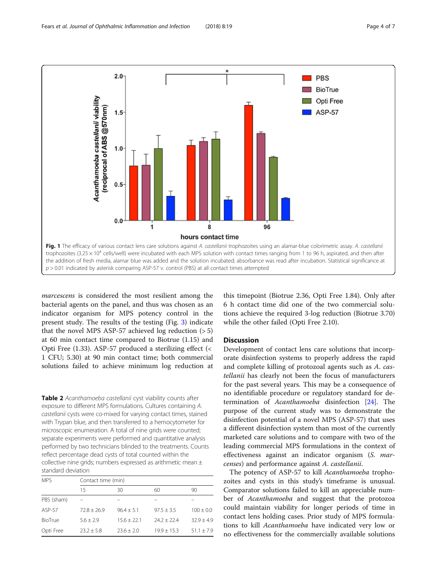<span id="page-3-0"></span>

marcescens is considered the most resilient among the bacterial agents on the panel, and thus was chosen as an indicator organism for MPS potency control in the present study. The results of the testing (Fig. [3\)](#page-4-0) indicate that the novel MPS ASP-57 achieved log reduction  $(> 5)$ at 60 min contact time compared to Biotrue (1.15) and Opti Free (1.33). ASP-57 produced a sterilizing effect (< 1 CFU; 5.30) at 90 min contact time; both commercial solutions failed to achieve minimum log reduction at

Table 2 Acanthamoeba castellanii cyst viability counts after exposure to different MPS formulations. Cultures containing A. castellanii cysts were co-mixed for varying contact times, stained with Trypan blue, and then transferred to a hemocytometer for microscopic enumeration. A total of nine grids were counted; separate experiments were performed and quantitative analysis performed by two technicians blinded to the treatments. Counts reflect percentage dead cysts of total counted within the collective nine grids; numbers expressed as arithmetic mean ± standard deviation

| <b>MPS</b> | Contact time (min) |               |               |               |  |
|------------|--------------------|---------------|---------------|---------------|--|
|            | 15                 | 30            | 60            | 90            |  |
| PBS (sham) |                    |               |               |               |  |
| ASP-57     | $72.8 + 26.9$      | $96.4 + 5.1$  | $97.5 + 3.5$  | $100 \pm 0.0$ |  |
| BioTrue    | $5.6 + 2.9$        | $15.6 + 22.1$ | $74.7 + 77.4$ | $32.9 + 4.9$  |  |
| Opti Free  | $23.2 + 5.8$       | $23.6 + 2.0$  | $19.9 + 15.3$ | $51.1 + 7.9$  |  |
|            |                    |               |               |               |  |

this timepoint (Biotrue 2.36, Opti Free 1.84). Only after 6 h contact time did one of the two commercial solutions achieve the required 3-log reduction (Biotrue 3.70) while the other failed (Opti Free 2.10).

## **Discussion**

Development of contact lens care solutions that incorporate disinfection systems to properly address the rapid and complete killing of protozoal agents such as A. castellanii has clearly not been the focus of manufacturers for the past several years. This may be a consequence of no identifiable procedure or regulatory standard for determination of Acanthamoeba disinfection [\[24](#page-6-0)]. The purpose of the current study was to demonstrate the disinfection potential of a novel MPS (ASP-57) that uses a different disinfection system than most of the currently marketed care solutions and to compare with two of the leading commercial MPS formulations in the context of effectiveness against an indicator organism (S. marcenses) and performance against A. castellanii.

The potency of ASP-57 to kill Acanthamoeba trophozoites and cysts in this study's timeframe is unusual. Comparator solutions failed to kill an appreciable number of Acanthamoeba and suggest that the protozoa could maintain viability for longer periods of time in contact lens holding cases. Prior study of MPS formulations to kill Acanthamoeba have indicated very low or no effectiveness for the commercially available solutions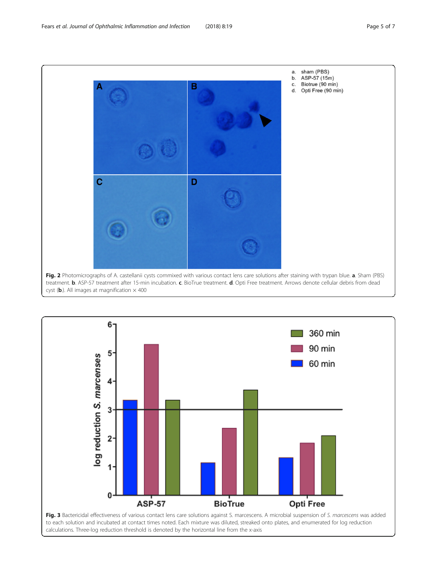<span id="page-4-0"></span>

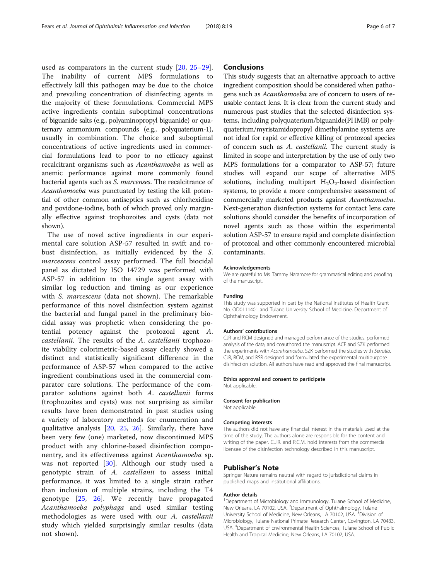used as comparators in the current study [[20,](#page-6-0) [25](#page-6-0)–[29](#page-6-0)]. The inability of current MPS formulations to effectively kill this pathogen may be due to the choice and prevailing concentration of disinfecting agents in the majority of these formulations. Commercial MPS active ingredients contain suboptimal concentrations of biguanide salts (e.g., polyaminopropyl biguanide) or quaternary ammonium compounds (e.g., polyquaterium-1), usually in combination. The choice and suboptimal concentrations of active ingredients used in commercial formulations lead to poor to no efficacy against recalcitrant organisms such as Acanthamoeba as well as anemic performance against more commonly found bacterial agents such as S. marcenses. The recalcitrance of Acanthamoeba was punctuated by testing the kill potential of other common antiseptics such as chlorhexidine and povidone-iodine, both of which proved only marginally effective against trophozoites and cysts (data not shown).

The use of novel active ingredients in our experimental care solution ASP-57 resulted in swift and robust disinfection, as initially evidenced by the S. marcescens control assay performed. The full biocidal panel as dictated by ISO 14729 was performed with ASP-57 in addition to the single agent assay with similar log reduction and timing as our experience with S. marcescens (data not shown). The remarkable performance of this novel disinfection system against the bacterial and fungal panel in the preliminary biocidal assay was prophetic when considering the potential potency against the protozoal agent A. castellanii. The results of the A. castellanii trophozoite viability colorimetric-based assay clearly showed a distinct and statistically significant difference in the performance of ASP-57 when compared to the active ingredient combinations used in the commercial comparator care solutions. The performance of the comparator solutions against both A. castellanii forms (trophozoites and cysts) was not surprising as similar results have been demonstrated in past studies using a variety of laboratory methods for enumeration and qualitative analysis [[20,](#page-6-0) [25,](#page-6-0) [26](#page-6-0)]. Similarly, there have been very few (one) marketed, now discontinued MPS product with any chlorine-based disinfection componentry, and its effectiveness against Acanthamoeba sp. was not reported [[30\]](#page-6-0). Although our study used a genotypic strain of A. castellanii to assess initial performance, it was limited to a single strain rather than inclusion of multiple strains, including the T4 genotype [\[25](#page-6-0), [26](#page-6-0)]. We recently have propagated Acanthamoeba polyphaga and used similar testing methodologies as were used with our A. castellanii study which yielded surprisingly similar results (data not shown).

## **Conclusions**

This study suggests that an alternative approach to active ingredient composition should be considered when pathogens such as Acanthamoeba are of concern to users of reusable contact lens. It is clear from the current study and numerous past studies that the selected disinfection systems, including polyquaterium/biguanide(PHMB) or polyquaterium/myristamidopropyl dimethylamine systems are not ideal for rapid or effective killing of protozoal species of concern such as A. castellanii. The current study is limited in scope and interpretation by the use of only two MPS formulations for a comparator to ASP-57; future studies will expand our scope of alternative MPS solutions, including multipart  $H_2O_2$ -based disinfection systems, to provide a more comprehensive assessment of commercially marketed products against Acanthamoeba. Next-generation disinfection systems for contact lens care solutions should consider the benefits of incorporation of novel agents such as those within the experimental solution ASP-57 to ensure rapid and complete disinfection of protozoal and other commonly encountered microbial contaminants.

#### Acknowledgements

We are grateful to Ms. Tammy Naramore for grammatical editing and proofing of the manuscript.

#### Funding

This study was supported in part by the National Institutes of Health Grant No. OD0111401 and Tulane University School of Medicine, Department of Ophthalmology Endowment.

#### Authors' contributions

CJR and RCM designed and managed performance of the studies, performed analysis of the data, and coauthored the manuscript. ACF and SZK performed the experiments with Acanthamoeba. SZK performed the studies with Serratia. CJR, RCM, and RSR designed and formulated the experimental multipurpose disinfection solution. All authors have read and approved the final manuscript.

#### Ethics approval and consent to participate

Not applicable.

### Consent for publication

Not applicable.

#### Competing interests

The authors did not have any financial interest in the materials used at the time of the study. The authors alone are responsible for the content and writing of the paper. C.J.R. and R.C.M. hold interests from the commercial licensee of the disinfection technology described in this manuscript.

#### Publisher's Note

Springer Nature remains neutral with regard to jurisdictional claims in published maps and institutional affiliations.

#### Author details

<sup>1</sup>Department of Microbiology and Immunology, Tulane School of Medicine, New Orleans, LA 70102, USA. <sup>2</sup>Department of Ophthalmology, Tulane University School of Medicine, New Orleans, LA 70102, USA.<sup>3</sup> Division of Microbiology, Tulane National Primate Research Center, Covington, LA 70433, USA. <sup>4</sup>Department of Environmental Health Sciences, Tulane School of Public Health and Tropical Medicine, New Orleans, LA 70102, USA.